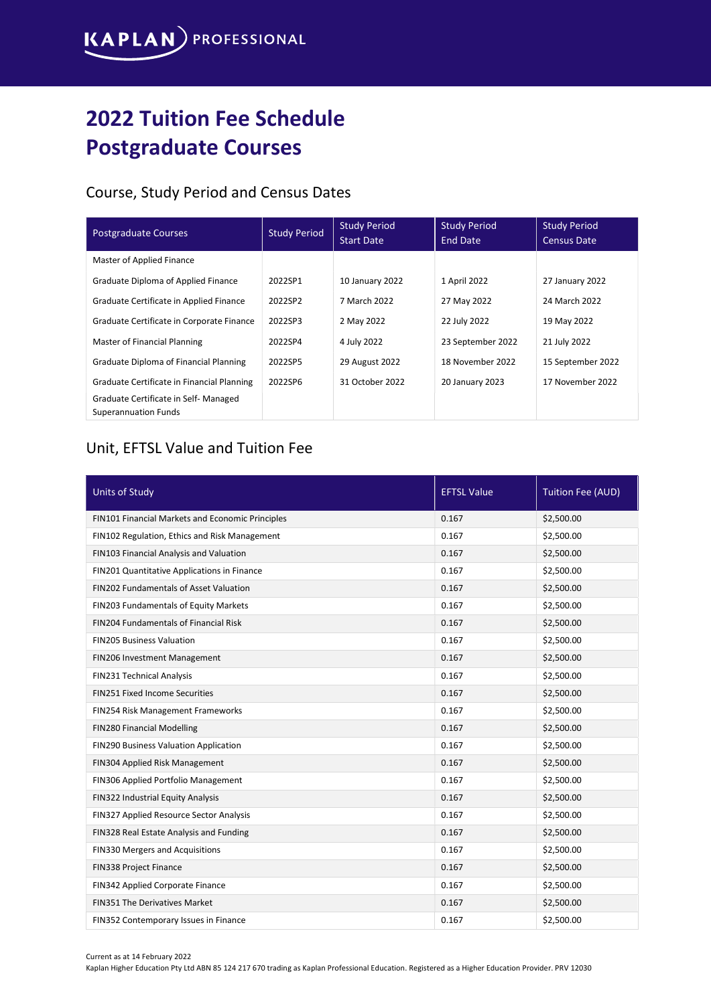## 2022 Tuition Fee Schedule Postgraduate Courses

## Course, Study Period and Census Dates

| <b>Postgraduate Courses</b>                                         | <b>Study Period</b> | <b>Study Period</b><br><b>Start Date</b> | <b>Study Period</b><br><b>End Date</b> | <b>Study Period</b><br><b>Census Date</b> |
|---------------------------------------------------------------------|---------------------|------------------------------------------|----------------------------------------|-------------------------------------------|
| Master of Applied Finance                                           |                     |                                          |                                        |                                           |
| Graduate Diploma of Applied Finance                                 | 2022SP1             | 10 January 2022                          | 1 April 2022                           | 27 January 2022                           |
| Graduate Certificate in Applied Finance                             | 2022SP2             | 7 March 2022                             | 27 May 2022                            | 24 March 2022                             |
| Graduate Certificate in Corporate Finance                           | 2022SP3             | 2 May 2022                               | 22 July 2022                           | 19 May 2022                               |
| Master of Financial Planning                                        | 2022SP4             | 4 July 2022                              | 23 September 2022                      | 21 July 2022                              |
| Graduate Diploma of Financial Planning                              | 2022SP5             | 29 August 2022                           | 18 November 2022                       | 15 September 2022                         |
| Graduate Certificate in Financial Planning                          | 2022SP6             | 31 October 2022                          | 20 January 2023                        | 17 November 2022                          |
| Graduate Certificate in Self-Managed<br><b>Superannuation Funds</b> |                     |                                          |                                        |                                           |

## Unit, EFTSL Value and Tuition Fee

| <b>Units of Study</b>                            | <b>EFTSL Value</b> | Tuition Fee (AUD) |
|--------------------------------------------------|--------------------|-------------------|
| FIN101 Financial Markets and Economic Principles | 0.167              | \$2,500.00        |
| FIN102 Regulation, Ethics and Risk Management    | 0.167              | \$2,500.00        |
| FIN103 Financial Analysis and Valuation          | 0.167              | \$2,500.00        |
| FIN201 Quantitative Applications in Finance      | 0.167              | \$2,500.00        |
| FIN202 Fundamentals of Asset Valuation           | 0.167              | \$2,500.00        |
| FIN203 Fundamentals of Equity Markets            | 0.167              | \$2,500.00        |
| FIN204 Fundamentals of Financial Risk            | 0.167              | \$2,500.00        |
| <b>FIN205 Business Valuation</b>                 | 0.167              | \$2,500.00        |
| FIN206 Investment Management                     | 0.167              | \$2,500.00        |
| FIN231 Technical Analysis                        | 0.167              | \$2,500.00        |
| <b>FIN251 Fixed Income Securities</b>            | 0.167              | \$2,500.00        |
| FIN254 Risk Management Frameworks                | 0.167              | \$2,500.00        |
| FIN280 Financial Modelling                       | 0.167              | \$2,500.00        |
| FIN290 Business Valuation Application            | 0.167              | \$2,500.00        |
| FIN304 Applied Risk Management                   | 0.167              | \$2,500.00        |
| FIN306 Applied Portfolio Management              | 0.167              | \$2,500.00        |
| FIN322 Industrial Equity Analysis                | 0.167              | \$2,500.00        |
| FIN327 Applied Resource Sector Analysis          | 0.167              | \$2,500.00        |
| FIN328 Real Estate Analysis and Funding          | 0.167              | \$2,500.00        |
| FIN330 Mergers and Acquisitions                  | 0.167              | \$2,500.00        |
| <b>FIN338 Project Finance</b>                    | 0.167              | \$2,500.00        |
| FIN342 Applied Corporate Finance                 | 0.167              | \$2,500.00        |
| FIN351 The Derivatives Market                    | 0.167              | \$2,500.00        |
| FIN352 Contemporary Issues in Finance            | 0.167              | \$2,500.00        |

Current as at 14 February 2022

Kaplan Higher Education Pty Ltd ABN 85 124 217 670 trading as Kaplan Professional Education. Registered as a Higher Education Provider. PRV 12030